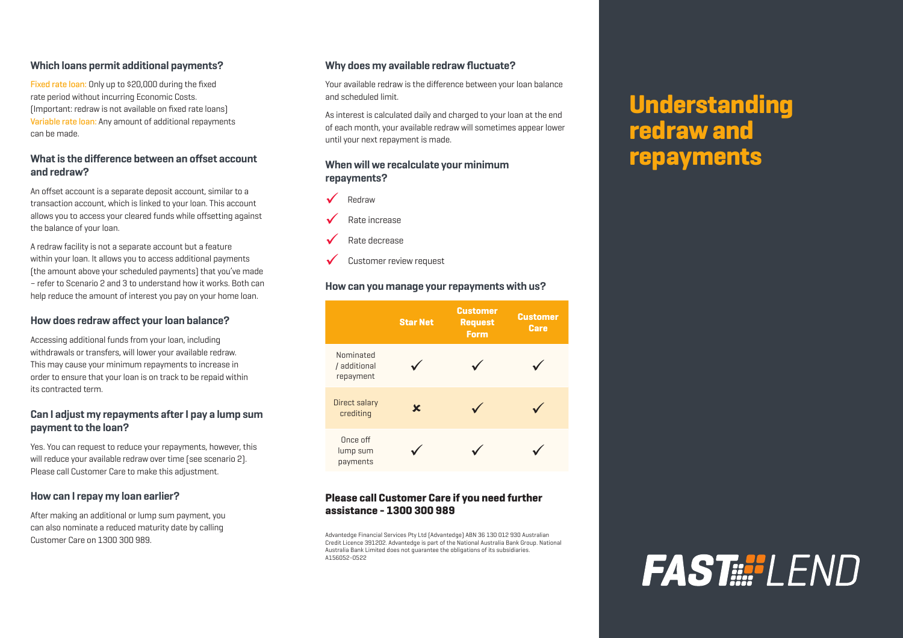### **Which loans permit additional payments?**

Fixed rate loan: Only up to \$20,000 during the fixed rate period without incurring Economic Costs. (Important: redraw is not available on fixed rate loans) Variable rate loan: Any amount of additional repayments can be made.

### **What is the difference between an offset account and redraw?**

An offset account is a separate deposit account, similar to a transaction account, which is linked to your loan. This account allows you to access your cleared funds while offsetting against the balance of your loan.

A redraw facility is not a separate account but a feature within your loan. It allows you to access additional payments (the amount above your scheduled payments) that you've made – refer to Scenario 2 and 3 to understand how it works. Both can help reduce the amount of interest you pay on your home loan.

#### **How does redraw affect your loan balance?**

Accessing additional funds from your loan, including withdrawals or transfers, will lower your available redraw. This may cause your minimum repayments to increase in order to ensure that your loan is on track to be repaid within its contracted term.

# **Can I adjust my repayments after I pay a lump sum payment to the loan?**

Yes. You can request to reduce your repayments, however, this will reduce your available redraw over time (see scenario 2). Please call Customer Care to make this adjustment.

### **How can I repay my loan earlier?**

After making an additional or lump sum payment, you can also nominate a reduced maturity date by calling Customer Care on 1300 300 989.

### **Why does my available redraw fluctuate?**

Your available redraw is the difference between your loan balance and scheduled limit.

As interest is calculated daily and charged to your loan at the end of each month, your available redraw will sometimes appear lower until your next repayment is made.

### **When will we recalculate your minimum repayments?**



Rate increase

- Rate decrease
- Customer review request

#### **How can you manage your repayments with us?**



### **Please call Customer Care if you need further assistance - 1300 300 989**

Advantedge Financial Services Pty Ltd (Advantedge) ABN 36 130 012 930 Australian Credit Licence 391202. Advantedge is part of the National Australia Bank Group. National Australia Bank Limited does not guarantee the obligations of its subsidiaries. A156052-0522

# **Understanding redraw and repayments**

# **FAST !!! | FND**